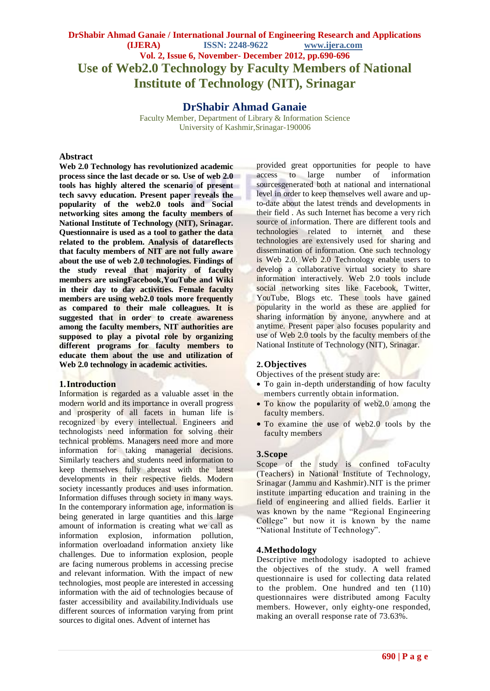# **DrShabir Ahmad Ganaie / International Journal of Engineering Research and Applications (IJERA) ISSN: 2248-9622 www.ijera.com Vol. 2, Issue 6, November- December 2012, pp.690-696 Use of Web2.0 Technology by Faculty Members of National Institute of Technology (NIT), Srinagar**

# **DrShabir Ahmad Ganaie**

Faculty Member, Department of Library & Information Science University of Kashmir,Srinagar-190006

## **Abstract**

**Web 2.0 Technology has revolutionized academic process since the last decade or so. Use of web 2.0 tools has highly altered the scenario of present tech savvy education. Present paper reveals the popularity of the web2.0 tools and Social networking sites among the faculty members of National Institute of Technology (NIT), Srinagar. Questionnaire is used as a tool to gather the data related to the problem. Analysis of datareflects that faculty members of NIT are not fully aware about the use of web 2.0 technologies. Findings of the study reveal that majority of faculty members are usingFacebook,YouTube and Wiki in their day to day activities. Female faculty members are using web2.0 tools more frequently as compared to their male colleagues. It is suggested that in order to create awareness among the faculty members, NIT authorities are supposed to play a pivotal role by organizing different programs for faculty members to educate them about the use and utilization of Web 2.0 technology in academic activities.** 

## **1.Introduction**

Information is regarded as a valuable asset in the modern world and its importance in overall progress and prosperity of all facets in human life is recognized by every intellectual. Engineers and technologists need information for solving their technical problems. Managers need more and more information for taking managerial decisions. Similarly teachers and students need information to keep themselves fully abreast with the latest developments in their respective fields. Modern society incessantly produces and uses information. Information diffuses through society in many ways. In the contemporary information age, information is being generated in large quantities and this large amount of information is creating what we call as information explosion, information pollution, information overloadand information anxiety like challenges. Due to information explosion, people are facing numerous problems in accessing precise and relevant information. With the impact of new technologies, most people are interested in accessing information with the aid of technologies because of faster accessibility and availability.Individuals use different sources of information varying from print sources to digital ones. Advent of internet has

provided great opportunities for people to have access to large number of information sourcesgenerated both at national and international level in order to keep themselves well aware and upto-date about the latest trends and developments in their field . As such Internet has become a very rich source of information. There are different tools and technologies related to internet and these technologies are extensively used for sharing and dissemination of information. One such technology is Web 2.0. Web 2.0 Technology enable users to develop a collaborative virtual society to share information interactively. Web 2.0 tools include social networking sites like Facebook, Twitter, YouTube, Blogs etc. These tools have gained popularity in the world as these are applied for sharing information by anyone, anywhere and at anytime. Present paper also focuses popularity and use of Web 2.0 tools by the faculty members of the National Institute of Technology (NIT), Srinagar.

# **2.Objectives**

Objectives of the present study are:

- To gain in-depth understanding of how faculty members currently obtain information.
- To know the popularity of web2.0 among the faculty members.
- To examine the use of web2.0 tools by the faculty members

# **3.Scope**

Scope of the study is confined toFaculty (Teachers) in National Institute of Technology, Srinagar (Jammu and Kashmir).NIT is the primer institute imparting education and training in the field of engineering and allied fields. Earlier it was known by the name "Regional Engineering College" but now it is known by the name "National Institute of Technology".

## **4.Methodology**

Descriptive methodology isadopted to achieve the objectives of the study. A well framed questionnaire is used for collecting data related to the problem. One hundred and ten (110) questionnaires were distributed among Faculty members. However, only eighty-one responded, making an overall response rate of 73.63%.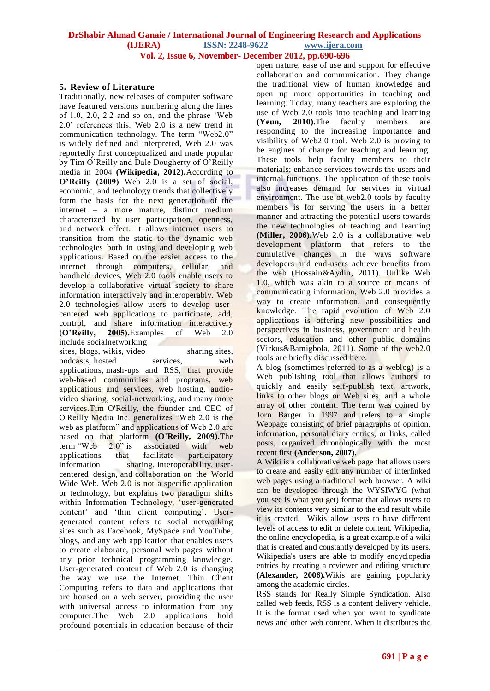# **5. Review of Literature**

Traditionally, new releases of computer software have featured versions numbering along the lines of 1.0, 2.0, 2.2 and so on, and the phrase "Web 2.0" references this. Web 2.0 is a new trend in communication technology. The term "Web2.0" is widely defined and interpreted, Web 2.0 was reportedly first conceptualized and made popular by Tim O"Reilly and Dale Dougherty of O"Reilly media in 2004 **(Wikipedia, 2012).**According to **O'Reilly (2009)** Web 2.0 is a set of social, economic, and technology trends that collectively form the basis for the next generation of the internet – a more mature, distinct medium characterized by user participation, openness, and network effect. It allows internet users to transition from the static to the dynamic web technologies both in using and developing web applications. Based on the easier access to the internet through computers, cellular, and handheld devices, Web 2.0 tools enable users to develop a collaborative virtual society to share information interactively and interoperably. Web 2.0 technologies allow users to develop usercentered web applications to participate, add, control, and share information interactively **(O'Reilly, 2005).**Examples of Web 2.0 include socialnetworking

sites, blogs, wikis, video sharing sites, podcasts, hosted services, web applications, mash-ups and RSS, that provide web-based communities and programs, web applications and services, web hosting, audiovideo sharing, social-networking, and many more services.Tim O'Reilly, the founder and CEO of O'Reilly Media Inc. generalizes "Web 2.0 is the web as platform" and applications of Web 2.0 are based on that platform **[\(O'Reilly, 2009\)](file:///C:\Users\hakim%20rosy\Desktop\l).**The term "Web  $2.0$ " is associated with web applications that facilitate participatory information sharing, interoperability, usercentered design, and collaboration on the World Wide Web. Web 2.0 is not a specific application or technology, but explains two paradigm shifts within Information Technology, 'user-generated content' and 'thin client computing'. Usergenerated content refers to social networking sites such as Facebook, MySpace and YouTube, blogs, and any web application that enables users to create elaborate, personal web pages without any prior technical programming knowledge. User-generated content of Web 2.0 is changing the way we use the Internet. Thin Client Computing refers to data and applications that are housed on a web server, providing the user with universal access to information from any computer.The Web 2.0 applications hold profound potentials in education because of their

open nature, ease of use and support for effective collaboration and communication. They change the traditional view of human knowledge and open up more opportunities in teaching and learning. Today, many teachers are exploring the use of Web 2.0 tools into teaching and learning **(Yeun, 2010).**The faculty members are responding to the increasing importance and visibility of Web2.0 tool. Web 2.0 is proving to be engines of change for teaching and learning. These tools help faculty members to their materials; enhance services towards the users and internal functions. The application of these tools also increases demand for services in virtual environment. The use of web2.0 tools by faculty members is for serving the users in a better manner and attracting the potential users towards the new technologies of teaching and learning **(Miller, 2006).**Web 2.0 is a collaborative web development platform that refers to the cumulative changes in the ways software developers and end-users achieve benefits from the web (Hossain&Aydin, 2011). Unlike Web 1.0, which was akin to a source or means of communicating information, Web 2.0 provides a way to create information, and consequently knowledge. The rapid evolution of Web 2.0 applications is offering new possibilities and perspectives in business, government and health sectors, education and other public domains (Virkus&Bamigbola, 2011). Some of the web2.0 tools are briefly discussed here.

A blog (sometimes referred to as a weblog) is a Web publishing tool that allows authors to quickly and easily self-publish text, artwork, links to other blogs or Web sites, and a whole array of other content. The term was coined by Jorn Barger in 1997 and refers to a simple Webpage consisting of brief paragraphs of opinion, information, personal diary entries, or links, called posts, organized chronologically with the most recent first **(Anderson, 2007).**

A Wiki is a collaborative web page that allows users to create and easily edit any number of interlinked web pages using a traditional web browser. A wiki can be developed through the WYSIWYG (what you see is what you get) format that allows users to view its contents very similar to the end result while it is created. Wikis allow users to have different levels of access to edit or delete content. Wikipedia, the online encyclopedia, is a great example of a wiki that is created and constantly developed by its users. Wikipedia's users are able to modify encyclopedia entries by creating a reviewer and editing structure **(Alexander, 2006).**Wikis are gaining popularity among the academic circles.

RSS stands for Really Simple Syndication. Also called web feeds, RSS is a content delivery vehicle. It is the format used when you want to syndicate news and other web content. When it distributes the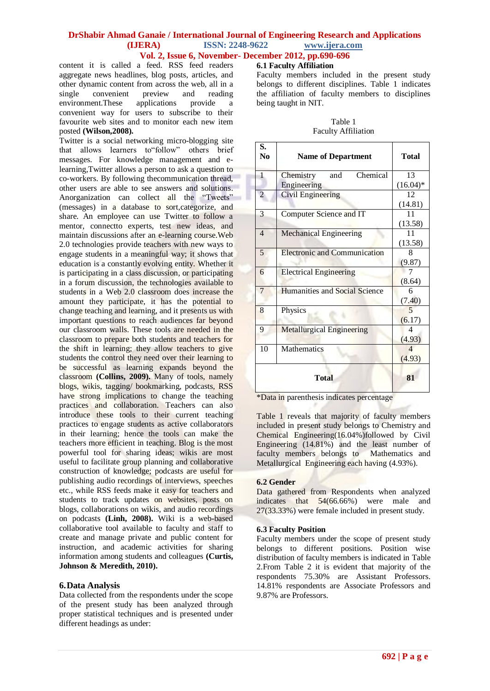content it is called a feed. RSS feed readers aggregate news headlines, blog posts, articles, and other dynamic content from across the web, all in a<br>single convenient preview and reading single convenient preview and reading environment.These applications provide a convenient way for users to subscribe to their favourite web sites and to monitor each new item

posted **(Wilson,2008).**

Twitter is a social networking micro-blogging site that allows learners to"follow" others brief messages. For knowledge management and elearning,Twitter allows a person to ask a question to co-workers. By following thecommunication thread, other users are able to see answers and solutions. Anorganization can collect all the "Tweets" (messages) in a database to sort,categorize, and share. An employee can use Twitter to follow a mentor, connectto experts, test new ideas, and maintain discussions after an e-learning course.Web 2.0 technologies provide teachers with new ways to engage students in a meaningful way; it shows that education is a constantly evolving entity. Whether it is participating in a class discussion, or participating in a forum discussion, the technologies available to students in a Web 2.0 classroom does increase the amount they participate, it has the potential to change teaching and learning, and it presents us with important questions to reach audiences far beyond our classroom walls. These tools are needed in the classroom to prepare both students and teachers for the shift in learning; they allow teachers to give students the control they need over their learning to be successful as learning expands beyond the classroom **(Collins, 2009).** Many of tools, namely blogs, wikis, tagging/ bookmarking, podcasts, RSS have strong implications to change the teaching practices and collaboration. Teachers can also introduce these tools to their current teaching practices to engage students as active collaborators in their learning; hence the tools can make the teachers more efficient in teaching. Blog is the most powerful tool for sharing ideas; wikis are most useful to facilitate group planning and collaborative construction of knowledge; podcasts are useful for publishing audio recordings of interviews, speeches etc., while RSS feeds make it easy for teachers and students to track updates on websites, posts on blogs, collaborations on wikis, and audio recordings on podcasts **(Linh, 2008).** Wiki is a web-based collaborative tool available to faculty and staff to create and manage private and public content for instruction, and academic activities for sharing information among students and colleagues **(Curtis, Johnson & Meredith, 2010).**

## **6.Data Analysis**

Data collected from the respondents under the scope of the present study has been analyzed through proper statistical techniques and is presented under different headings as under:

## **6.1 Faculty Affiliation**

Faculty members included in the present study belongs to different disciplines. Table 1 indicates the affiliation of faculty members to disciplines being taught in NIT.

| Table 1                    |  |  |  |
|----------------------------|--|--|--|
| <b>Faculty Affiliation</b> |  |  |  |

| S.<br>No       | <b>Name of Department</b>           | <b>Total</b>             |
|----------------|-------------------------------------|--------------------------|
| $\mathbf{1}$   | Chemical<br>Chemistry<br>and        | 13                       |
|                | Engineering                         | $(16.04)^*$              |
| $\overline{c}$ | Civil Engineering                   | 12                       |
|                |                                     | (14.81)                  |
| 3              | Computer Science and IT             | 11                       |
|                |                                     | (13.58)                  |
| $\overline{4}$ | Mechanical Engineering              | 11                       |
|                |                                     | (13.58)                  |
| 5              | <b>Electronic and Communication</b> | 8                        |
|                |                                     | (9.87)                   |
| 6              | <b>Electrical Engineering</b>       | 7                        |
|                |                                     | (8.64)                   |
| 7              | Humanities and Social Science       | 6                        |
|                |                                     | (7.40)                   |
| 8              | Physics                             | 5                        |
|                |                                     | (6.17)                   |
| 9              | <b>Metallurgical Engineering</b>    | 4                        |
|                |                                     | (4.93)                   |
| 10             | <b>Mathematics</b>                  | $\overline{\mathcal{A}}$ |
|                |                                     | (4.93)                   |
|                | <b>Total</b>                        | 81                       |

\*Data in parenthesis indicates percentage

Table 1 reveals that majority of faculty members included in present study belongs to Chemistry and Chemical Engineering(16.04%)followed by Civil Engineering (14.81%) and the least number of faculty members belongs to Mathematics and Metallurgical Engineering each having (4.93%).

#### **6.2 Gender**

Data gathered from Respondents when analyzed indicates that 54(66.66%) were male and 27(33.33%) were female included in present study.

#### **6.3 Faculty Position**

Faculty members under the scope of present study belongs to different positions. Position wise distribution of faculty members is indicated in Table 2.From Table 2 it is evident that majority of the respondents 75.30% are Assistant Professors. 14.81% respondents are Associate Professors and 9.87% are Professors.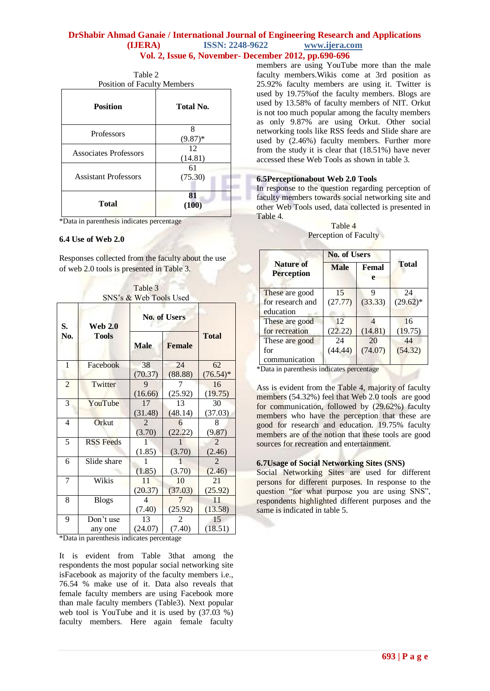| <b>Position of Faculty Members</b> |  |  |  |
|------------------------------------|--|--|--|
| Total No.                          |  |  |  |
| 8<br>$(9.87)^*$                    |  |  |  |
| 12<br>(14.81)                      |  |  |  |
| 61<br>(75.30)                      |  |  |  |
| 81<br>(100)                        |  |  |  |
|                                    |  |  |  |

Table 2

\*Data in parenthesis indicates percentage

## **6.4 Use of Web 2.0**

Responses collected from the faculty about the use of web 2.0 tools is presented in Table 3.

Table 3 SNS"s & Web Tools Used

| S.             | <b>Web 2.0</b><br><b>Tools</b> | <b>No. of Users</b> |               |                |
|----------------|--------------------------------|---------------------|---------------|----------------|
| No.            |                                | <b>Male</b>         | <b>Female</b> | <b>Total</b>   |
| 1              | Facebook                       | 38                  | 24            | 62             |
|                |                                | (70.37)             | (88.88)       | $(76.54)$ *    |
| $\overline{2}$ | Twitter                        | 9                   |               | 16             |
|                |                                | (16.66)             | (25.92)       | (19.75)        |
| 3              | YouTube                        | 17                  | 13            | 30             |
|                |                                | (31.48)             | (48.14)       | (37.03)        |
| $\overline{4}$ | Orkut                          | $\overline{2}$      | 6             | 8              |
|                |                                | (3.70)              | (22.22)       | (9.87)         |
| 5              | <b>RSS</b> Feeds               |                     |               | $\mathfrak{D}$ |
|                |                                | (1.85)              | (3.70)        | (2.46)         |
| 6              | Slide share                    |                     |               | $\mathfrak{D}$ |
|                |                                | (1.85)              | (3.70)        | (2.46)         |
| 7              | Wikis                          | 11                  | 10            | 21             |
|                |                                | (20.37)             | (37.03)       | (25.92)        |
| 8              | <b>Blogs</b>                   | 4                   | 7             | 11             |
|                |                                | (7.40)              | (25.92)       | (13.58)        |
| 9              | Don't use                      | 13                  | 2             | 15             |
|                | any one                        | (24.07)             | (7.40)        | (18.51)        |

\*Data in parenthesis indicates percentage

It is evident from Table 3that among the respondents the most popular social networking site isFacebook as majority of the faculty members i.e., 76.54 % make use of it. Data also reveals that female faculty members are using Facebook more than male faculty members (Table3). Next popular web tool is YouTube and it is used by (37.03 %) faculty members. Here again female faculty

members are using YouTube more than the male faculty members.Wikis come at 3rd position as 25.92% faculty members are using it. Twitter is used by 19.75%of the faculty members. Blogs are used by 13.58% of faculty members of NIT. Orkut is not too much popular among the faculty members as only 9.87% are using Orkut. Other social networking tools like RSS feeds and Slide share are used by (2.46%) faculty members. Further more from the study it is clear that (18.51%) have never accessed these Web Tools as shown in table 3.

## **6.5Perceptionabout Web 2.0 Tools**

In response to the question regarding perception of faculty members towards social networking site and other Web Tools used, data collected is presented in Table 4.

| Table 4               |
|-----------------------|
| Perception of Faculty |

|                                       | <b>No. of Users</b> |            |              |
|---------------------------------------|---------------------|------------|--------------|
| <b>Nature of</b><br><b>Perception</b> | <b>Male</b>         | Femal<br>e | <b>Total</b> |
| These are good                        | 15                  | q          | 24           |
| for research and                      | (27.77)             | (33.33)    | $(29.62)^*$  |
| education                             |                     |            |              |
| These are good                        | 12                  |            | 16           |
| for recreation                        | (22.22)             | (14.81)    | (19.75)      |
| These are good                        | 24                  | 20         | 44           |
| for                                   | (44.44)             | (74.07)    | (54.32)      |
| communication                         |                     |            |              |

\*Data in parenthesis indicates percentage

Ass is evident from the Table 4, majority of faculty members (54.32%) feel that Web 2.0 tools are good for communication, followed by (29.62%) faculty members who have the perception that these are good for research and education. 19.75% faculty members are of the notion that these tools are good sources for recreation and entertainment.

# **6.7Usage of Social Networking Sites (SNS)**

Social Networking Sites are used for different persons for different purposes. In response to the question "for what purpose you are using SNS", respondents highlighted different purposes and the same is indicated in table 5.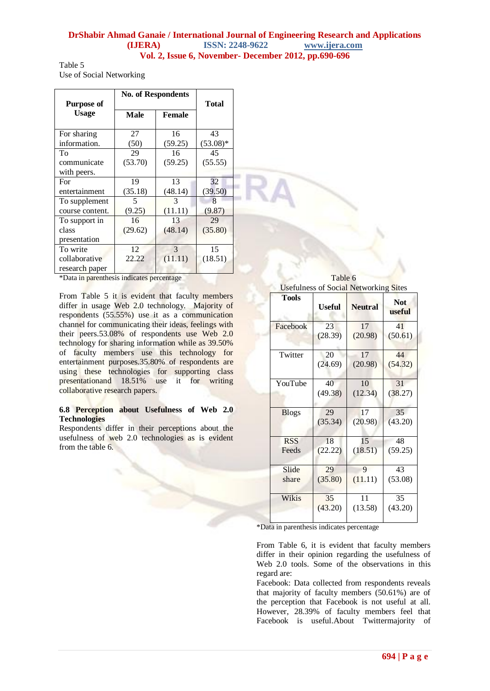Table 5 Use of Social Networking

| <b>Purpose of</b> | <b>No. of Respondents</b> | <b>Total</b> |             |
|-------------------|---------------------------|--------------|-------------|
| <b>Usage</b>      | Male                      | Female       |             |
| For sharing       | 27                        | 16           | 43          |
| information.      | (50)                      | (59.25)      | $(53.08)$ * |
| To                | 29                        | 16           | 45          |
| communicate       | (53.70)                   | (59.25)      | (55.55)     |
| with peers.       |                           |              |             |
| For               | 19                        | 13           | 32          |
| entertainment     | (35.18)                   | (48.14)      | (39.50)     |
| To supplement     | 5                         | 3            | 8           |
| course content.   | (9.25)                    | (11.11)      | (9.87)      |
| To support in     | 16                        | 13           | 29          |
| class             | (29.62)                   | (48.14)      | (35.80)     |
| presentation      |                           |              |             |
| To write          | 12                        | 3            | 15          |
| collaborative     | 22.22                     | (11.11)      | (18.51)     |
| research paper    |                           |              |             |

\*Data in parenthesis indicates percentage

From Table 5 it is evident that faculty members differ in usage Web 2.0 technology. Majority of respondents (55.55%) use it as a communication channel for communicating their ideas, feelings with their peers.53.08% of respondents use Web 2.0 technology for sharing information while as 39.50% of faculty members use this technology for entertainment purposes.35.80% of respondents are using these technologies for supporting class presentationand 18.51% use it for writing collaborative research papers.

# **6.8 Perception about Usefulness of Web 2.0 Technologies**

Respondents differ in their perceptions about the usefulness of web 2.0 technologies as is evident from the table 6.

Table 6 Usefulness of Social Networking Sites

| <b>Tools</b> | Useful  | <b>Neutral</b> | <b>Not</b><br>useful |
|--------------|---------|----------------|----------------------|
| Facebook     | 23      | 17             | 41                   |
|              | (28.39) | (20.98)        | (50.61)              |
| Twitter      | 20      | 17             | 44                   |
|              | (24.69) | (20.98)        | (54.32)              |
| YouTube      | 40      | 10             | 31                   |
|              | (49.38) | (12.34)        | (38.27)              |
| <b>Blogs</b> | 29      | 17             | 35                   |
|              | (35.34) | (20.98)        | (43.20)              |
| <b>RSS</b>   | 18      | 15             | 48                   |
| Feeds        | (22.22) | (18.51)        | (59.25)              |
| Slide        | 29      | 9              | 43                   |
| share        | (35.80) | (11.11)        | (53.08)              |
| Wikis        | 35      | 11             | 35                   |
|              | (43.20) | (13.58)        | (43.20)              |

\*Data in parenthesis indicates percentage

From Table 6, it is evident that faculty members differ in their opinion regarding the usefulness of Web 2.0 tools. Some of the observations in this regard are:

Facebook: Data collected from respondents reveals that majority of faculty members (50.61%) are of the perception that Facebook is not useful at all. However, 28.39% of faculty members feel that Facebook is useful.About Twittermajority of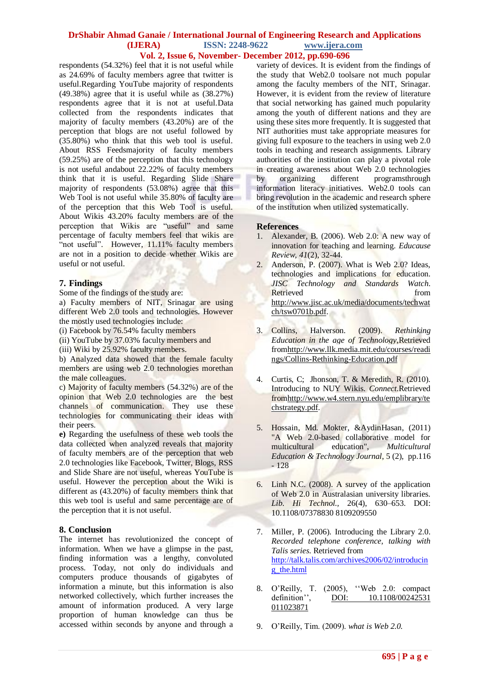respondents (54.32%) feel that it is not useful while as 24.69% of faculty members agree that twitter is useful.Regarding YouTube majority of respondents (49.38%) agree that it is useful while as (38.27%) respondents agree that it is not at useful.Data collected from the respondents indicates that majority of faculty members (43.20%) are of the perception that blogs are not useful followed by (35.80%) who think that this web tool is useful. About RSS Feedsmajority of faculty members (59.25%) are of the perception that this technology is not useful andabout 22.22% of faculty members think that it is useful. Regarding Slide Share majority of respondents (53.08%) agree that this Web Tool is not useful while 35.80% of faculty are of the perception that this Web Tool is useful. About Wikis 43.20% faculty members are of the perception that Wikis are "useful" and same percentage of faculty members feel that wikis are "not useful". However, 11.11% faculty members are not in a position to decide whether Wikis are useful or not useful.

# **7. Findings**

Some of the findings of the study are:

a) Faculty members of NIT, Srinagar are using different Web 2.0 tools and technologies. However the mostly used technologies include:

(i) Facebook by 76.54% faculty members

(ii) YouTube by 37.03% faculty members and

(iii) Wiki by 25.92% faculty members.

b) Analyzed data showed that the female faculty members are using web 2.0 technologies morethan the male colleagues.

c) Majority of faculty members (54.32%) are of the opinion that Web 2.0 technologies are the best channels of communication. They use these technologies for communicating their ideas with their peers.

**e)** Regarding the usefulness of these web tools the data collected when analyzed reveals that majority of faculty members are of the perception that web 2.0 technologies like Facebook, Twitter, Blogs, RSS and Slide Share are not useful, whereas YouTube is useful. However the perception about the Wiki is different as (43.20%) of faculty members think that this web tool is useful and same percentage are of the perception that it is not useful.

## **8. Conclusion**

The internet has revolutionized the concept of information. When we have a glimpse in the past, finding information was a lengthy, convoluted process. Today, not only do individuals and computers produce thousands of gigabytes of information a minute, but this information is also networked collectively, which further increases the amount of information produced. A very large proportion of human knowledge can thus be accessed within seconds by anyone and through a variety of devices. It is evident from the findings of the study that Web2.0 toolsare not much popular among the faculty members of the NIT, Srinagar. However, it is evident from the review of literature that social networking has gained much popularity among the youth of different nations and they are using these sites more frequently. It is suggested that NIT authorities must take appropriate measures for giving full exposure to the teachers in using web 2.0 tools in teaching and research assignments. Library authorities of the institution can play a pivotal role in creating awareness about Web 2.0 technologies by organizing different programsthrough information literacy initiatives. Web2.0 tools can bring revolution in the academic and research sphere of the institution when utilized systematically.

#### **References**

- 1. Alexander, B. (2006). Web 2.0: A new way of innovation for teaching and learning. *Educause Review, 41*(2), 32-44.
- 2. Anderson, P. (2007). What is Web 2.0? Ideas, technologies and implications for education. *JISC Technology and Standards Watch*. Retrieved from the state of the state of the state of the state of the state of the state of the state of the state of the state of the state of the state of the state of the state of the state of the state of the state of [http://www.jisc.ac.uk/media/documents/techwat](http://www.jisc.ac.uk/media/documents/techwatch/tsw0701b.pdf) [ch/tsw0701b.pdf.](http://www.jisc.ac.uk/media/documents/techwatch/tsw0701b.pdf)
- 3. Collins, Halverson. (2009). *Rethinking Education in the age of Technology*,Retrieved fro[mhttp://www.llk.media.mit.edu/courses/readi](http://www.llk.media.mit.edu/courses/readings/Collins-Rethinking-Education.pdf) [ngs/Collins-Rethinking-Education.pdf](http://www.llk.media.mit.edu/courses/readings/Collins-Rethinking-Education.pdf)
- 4. Curtis, C; Jhonson, T. & Meredith, R. (2010). Introducing to NUY Wikis. *Connect*.Retrieved fro[mhttp://www.w4.stern.nyu.edu/emplibrary/te](http://www.w4.stern.nyu.edu/emplibrary/techstrategy.pdf) [chstrategy.pdf.](http://www.w4.stern.nyu.edu/emplibrary/techstrategy.pdf)
- 5. Hossain, Md. Mokter, &AydinHasan, (2011) "A Web 2.0-based collaborative model for multicultural education", *Multicultural Education & Technology Journal*, 5 (2), pp.116 - 128
- 6. Linh N.C. (2008). A survey of the application of Web 2.0 in Australasian university libraries. *Lib. Hi Technol.,* 26(4), 630–653. DOI: 10.1108/07378830 8109209550
- 7. Miller, P. (2006). Introducing the Library 2.0. *Recorded telephone conference, talking with Talis series*. Retrieved from [http://talk.talis.com/archives2006/02/introducin](http://talk.talis.com/archives2006/02/introducing_the.html) [g\\_the.html](http://talk.talis.com/archives2006/02/introducing_the.html)
- 8. O"Reilly, T. (2005), ""Web 2.0: compact definition", DOI: 10.1108/00242531 [011023871](http://dx.doi.org/10.1108/00242531011023871)
- 9. O"Reilly, Tim. (2009). *what is Web 2.0.*